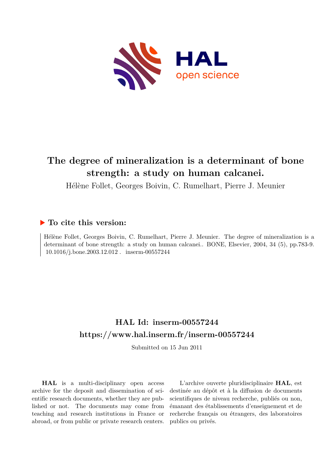

# **The degree of mineralization is a determinant of bone strength: a study on human calcanei.**

Hélène Follet, Georges Boivin, C. Rumelhart, Pierre J. Meunier

# **To cite this version:**

Hélène Follet, Georges Boivin, C. Rumelhart, Pierre J. Meunier. The degree of mineralization is a determinant of bone strength: a study on human calcanei.. BONE, Elsevier, 2004, 34 (5), pp.783-9.  $10.1016/j.bone.2003.12.012$ . inserm-00557244

# **HAL Id: inserm-00557244 <https://www.hal.inserm.fr/inserm-00557244>**

Submitted on 15 Jun 2011

**HAL** is a multi-disciplinary open access archive for the deposit and dissemination of scientific research documents, whether they are published or not. The documents may come from teaching and research institutions in France or abroad, or from public or private research centers.

L'archive ouverte pluridisciplinaire **HAL**, est destinée au dépôt et à la diffusion de documents scientifiques de niveau recherche, publiés ou non, émanant des établissements d'enseignement et de recherche français ou étrangers, des laboratoires publics ou privés.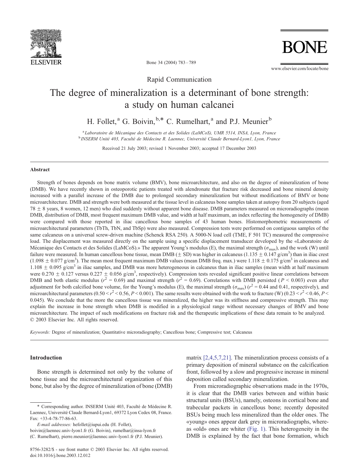

Bone 34 (2004) 783 – 789

www.elsevier.com/locate/bone

**BON** 

Rapid Communication

# The degree of mineralization is a determinant of bone strength: a study on human calcanei

H. Follet,<sup>a</sup> G. Boivin,  $b.*$  C. Rumelhart,<sup>a</sup> and P.J. Meunier<sup>b</sup>

<sup>a</sup> Laboratoire de Mécanique des Contacts et des Solides (LaMCoS), UMR 5514, INSA, Lyon, France <sup>b</sup> INSERM Unité 403, Faculté de Médecine R. Laennec, Université Claude Bernard-Lyon1, Lyon, France

Received 21 July 2003; revised 1 November 2003; accepted 17 December 2003

#### Abstract

Strength of bones depends on bone matrix volume (BMV), bone microarchitecture, and also on the degree of mineralization of bone (DMB). We have recently shown in osteoporotic patients treated with alendronate that fracture risk decreased and bone mineral density increased with a parallel increase of the DMB due to prolonged secondary mineralization but without modifications of BMV or bone microarchitecture. DMB and strength were both measured at the tissue level in calcaneus bone samples taken at autopsy from 20 subjects (aged  $78 \pm 8$  years, 8 women, 12 men) who died suddenly without apparent bone disease. DMB parameters measured on microradiographs (mean DMB, distribution of DMB, most frequent maximum DMB value, and width at half maximum, an index reflecting the homogeneity of DMB) were compared with those reported in iliac cancellous bone samples of 43 human bones. Histomorphometric measurements of microarchitectural parameters (TbTh, TbN, and TbSp) were also measured. Compression tests were performed on contiguous samples of the same calcaneus on a universal screw-driven machine (Schenck RSA 250). A 5000-N load cell (TME, F 501 TC) measured the compressive load. The displacement was measured directly on the sample using a specific displacement transducer developed by the «Laboratoire de Mécanique des Contacts et des Solides (LaMCoS).» The apparent Young's modulus (E), the maximal strength ( $\sigma_{\text{max}}$ ), and the work (W) until failure were measured. In human cancellous bone tissue, mean DMB ( $\pm$  SD) was higher in calcaneus (1.135  $\pm$  0.147 g/cm<sup>3</sup>) than in iliac crest  $(1.098 \pm 0.077 \text{ g/cm}^3)$ . The mean most frequent maximum DMB values (mean DMB freq. max.) were 1.118  $\pm$  0.175 g/cm<sup>3</sup> in calcaneus and  $1.108 \pm 0.095$  g/cm<sup>3</sup> in iliac samples, and DMB was more heterogeneous in calcaneus than in iliac samples (mean width at half maximum were  $0.270 \pm 0.127$  versus  $0.227 \pm 0.056$  g/cm<sup>3</sup>, respectively). Compression tests revealed significant positive linear correlations between DMB and both elastic modulus ( $r^2 = 0.69$ ) and maximal strength ( $r^2 = 0.69$ ). Correlations with DMB persisted ( $P < 0.003$ ) even after adjustment for both calcified bone volume, for the Young's modulus (E), the maximal strength ( $\sigma_{\text{max}}$ ) ( $r^2$  = 0.44 and 0.41, respectively), and microarchitectural parameters  $(0.50 < r^2 < 0.56, P < 0.001)$ . The same results were obtained with the work to fracture (W)  $(0.23 < r^2 < 0.46, P <$ 0.045). We conclude that the more the cancellous tissue was mineralized, the higher was its stiffness and compressive strength. This may explain the increase in bone strength when DMB is modified in a physiological range without necessary changes of BMV and bone microarchitecture. The impact of such modifications on fracture risk and the therapeutic implications of these data remain to be analyzed.  $© 2003 Elsevier Inc. All rights reserved.$ 

Keywords: Degree of mineralization; Quantitative microradiography; Cancellous bone; Compressive test; Calcaneus

#### Introduction

Bone strength is determined not only by the volume of bone tissue and the microarchitectural organization of this bone, but also by the degree of mineralization of bone (DMB)

matrix [\[2,4,5,7,21](#page-6-0)]. The mineralization process consists of a primary deposition of mineral substance on the calcification front, followed by a slow and progressive increase in mineral deposition called secondary mineralization.

From microradiographic observations made in the 1970s, it is clear that the DMB varies between and within basic structural units (BSUs), namely, osteons in cortical bone and trabecular packets in cancellous bone; recently deposited BSUs being much less mineralized than the older ones. The «young» ones appear dark grey in microradiographs, whereas «old» ones are whiter [\(Fig. 1](#page-2-0)). This heterogeneity in the DMB is explained by the fact that bone formation, which

<sup>\*</sup> Corresponding author. INSERM Unite´ 403, Faculte´ de Me´decine R. Laennec, Université Claude Bernard-Lyon1, 69372 Lyon Cedex 08, France. Fax: +33-4-78-77-86-63.

E-mail addresses: hefollet@iupui.edu (H. Follet),

boivin@laennec.univ-lyon1.fr (G. Boivin), rumelhar@insa-lyon.fr (C. Rumelhart), pierre.meunier@laennec.univ-lyon1.fr (P.J. Meunier).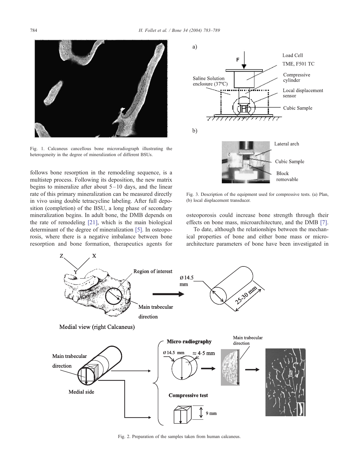<span id="page-2-0"></span>

Fig. 1. Calcaneus cancellous bone microradiograph illustrating the heterogeneity in the degree of mineralization of different BSUs.

follows bone resorption in the remodeling sequence, is a multistep process. Following its deposition, the new matrix begins to mineralize after about  $5-10$  days, and the linear rate of this primary mineralization can be measured directly in vivo using double tetracycline labeling. After full deposition (completion) of the BSU, a long phase of secondary mineralization begins. In adult bone, the DMB depends on the rate of remodeling [\[21\],](#page-7-0) which is the main biological determinant of the degree of mineralization [\[5\].](#page-6-0) In osteoporosis, where there is a negative imbalance between bone resorption and bone formation, therapeutics agents for



Fig. 3. Description of the equipment used for compressive tests. (a) Plan, (b) local displacement transducer.

osteoporosis could increase bone strength through their effects on bone mass, microarchitecture, and the DMB [\[7\].](#page-7-0)

To date, although the relationships between the mechanical properties of bone and either bone mass or microarchitecture parameters of bone have been investigated in



Fig. 2. Preparation of the samples taken from human calcaneus.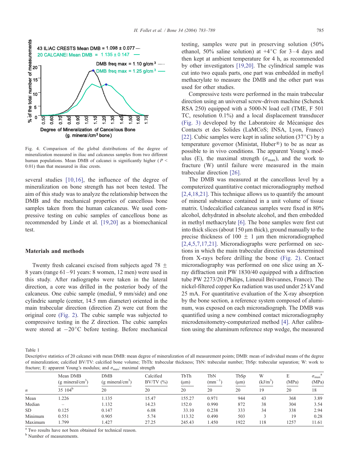<span id="page-3-0"></span>

Fig. 4. Comparison of the global distributions of the degree of mineralization measured in iliac and calcaneus samples from two different human populations. Mean DMB of calcanei is significantly higher ( $P \leq$ 0.01) than that measured in iliac crests.

several studies [\[10,16\],](#page-7-0) the influence of the degree of mineralization on bone strength has not been tested. The aim of this study was to analyze the relationship between the DMB and the mechanical properties of cancellous bone samples taken from the human calcaneus. We used compressive testing on cubic samples of cancellous bone as recommended by Linde et al. [\[19,20\]](#page-7-0) as a biomechanical test.

### Materials and methods

Twenty fresh calcanei excised from subjects aged 78  $\pm$ 8 years (range 61 – 91 years: 8 women, 12 men) were used in this study. After radiographs were taken in the lateral direction, a core was drilled in the posterior body of the calcaneus. One cubic sample (medial, 9 mm/side) and one cylindric sample (center, 14.5 mm diameter) oriented in the main trabecular direction (direction Z) were cut from the original core [\(Fig. 2\).](#page-2-0) The cubic sample was subjected to compressive testing in the Z direction. The cubic samples were stored at  $-20^{\circ}$ C before testing. Before mechanical testing, samples were put in preserving solution (50% ethanol, 50% saline solution) at  $+4^{\circ}C$  for 3-4 days and then kept at ambient temperature for 4 h, as recommended by other investigators [\[19,20\].](#page-7-0) The cylindrical sample was cut into two equals parts, one part was embedded in methyl methacrylate to measure the DMB and the other part was used for other studies.

Compressive tests were performed in the main trabecular direction using an universal screw-driven machine (Schenck RSA 250) equipped with a 5000-N load cell (TME, F 501 TC, resolution 0.1%) and a local displacement transducer [\(Fig. 3\)](#page-2-0) developed by the Laboratoire de Mécanique des Contacts et des Solides (LaMCoS; INSA, Lyon, France) [\[22\].](#page-7-0) Cubic samples were kept in saline solution  $(37^{\circ}C)$  by a temperature governor (Ministat, Huber®) to be as near as possible to in vivo conditions. The apparent Young's modulus (E), the maximal strength ( $\sigma_{\text{max}}$ ), and the work to fracture (W) until failure were measured in the main trabecular direction [\[26\].](#page-7-0)

The DMB was measured at the cancellous level by a computerized quantitative contact microradiography method [\[2,4,18,21\].](#page-6-0) This technique allows us to quantify the amount of mineral substance contained in a unit volume of tissue matrix. Undecalcified calcaneus samples were fixed in 80% alcohol, dehydrated in absolute alcohol, and then embedded in methyl methacrylate [\[6\].](#page-6-0) The bone samples were first cut into thick slices (about  $150 \mu m$  thick), ground manually to the precise thickness of 100  $\pm$  1  $\mu$ m then microradiographed [\[2,4,5,7,17,21\].](#page-6-0) Microradiographs were performed on sections in which the main trabecular direction was determined from X-rays before drilling the bone [\(Fig. 2\).](#page-2-0) Contact microradiography was performed on one slice using an Xray diffraction unit PW 1830/40 equipped with a diffraction tube PW 2273/20 (Philips, Limeuil Brévannes, France). The nickel-filtered copper  $K\alpha$  radiation was used under 25 kV and 25 mA. For quantitative evaluation of the X-ray absorption by the bone section, a reference system composed of aluminum, was exposed on each microradiograph. The DMB was quantified using a new combined contact microradiography microdensitometry-computerized method [\[4\].](#page-6-0) After calibration using the aluminum reference step wedge, the measured

Table 1

Descriptive statistics of 20 calcanei with mean DMB: mean degree of mineralization of all measurement points; DMB: mean of individual means of the degree of mineralization; calcified BV/TV: calcified bone volume; TbTh: trabecular thickness; TbN: trabecular number; TbSp: trabecular separation; W: work to fracture; E: apparent Young's modulus; and  $\sigma_{\text{max}}$ : maximal strength

| $\boldsymbol{n}$ | Mean DMB<br>$(g \text{ mineral/cm}^3)$ | <b>DMB</b><br>(g mineral/cm <sup>3</sup> ) | Calcified<br>$BV/TV$ $(\%)$ | TbTh<br>$(\mu m)$ | TbN<br>$(mm^{-1})$ | TbSp<br>$(\mu m)$ | W<br>$(kJ/m^3)$ | E<br>(MPa) | a<br>$\sigma_{\text{max}}$<br>(MPa) |
|------------------|----------------------------------------|--------------------------------------------|-----------------------------|-------------------|--------------------|-------------------|-----------------|------------|-------------------------------------|
|                  | 35 $104^b$                             | 20                                         | 20                          | 20                | 20                 | 20                | 19              | 20         | 18                                  |
| Mean             | .226                                   | 1.135                                      | 15.47                       | 155.27            | 0.971              | 944               | 43              | 368        | 3.89                                |
| Median           | -                                      | 1.132                                      | 14.23                       | 152.0             | 0.990              | 872               | 38              | 304        | 3.54                                |
| SD.              | 0.125                                  | 0.147                                      | 6.08                        | 33.10             | 0.238              | 333               | 34              | 338        | 2.94                                |
| Minimum          | 0.551                                  | 0.905                                      | 5.74                        | 113.32            | 0.490              | 503               |                 | 19         | 0.28                                |
| Maximum          | .799                                   | .427                                       | 27.25                       | 245.43            | .450               | 1922              | 118             | 1257       | 11.61                               |

<sup>a</sup> Two results have not been obtained for technical reason.

**b** Number of measurements.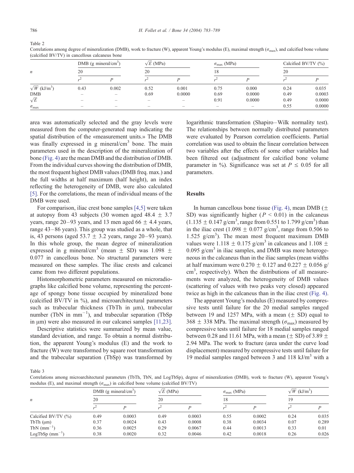| $\boldsymbol{n}$                | DMB (g mineral/cm <sup>3</sup> )<br>20 |                          | $\sqrt{E}$ (MPa)<br>20 |                          | $\sigma_{\text{max}}$ (MPa)<br>18 |        | Calcified BV/TV $(\% )$<br>20 |        |
|---------------------------------|----------------------------------------|--------------------------|------------------------|--------------------------|-----------------------------------|--------|-------------------------------|--------|
|                                 |                                        |                          |                        |                          |                                   |        |                               |        |
| $\sqrt{W}$ (kJ/m <sup>3</sup> ) | 0.43                                   | 0.002                    | 0.52                   | 0.001                    | 0.75                              | 0.000  | 0.24                          | 0.035  |
| <b>DMB</b>                      |                                        |                          | 0.69                   | 0.0000                   | 0.69                              | 0.0000 | 0.49                          | 0.0003 |
| $\sqrt{E}$                      |                                        |                          |                        | $\overline{\phantom{a}}$ | 0.91                              | 0.0000 | 0.49                          | 0.0000 |
| $\sigma_{\text{max}}$           | $\overline{\phantom{a}}$               | $\overline{\phantom{a}}$ |                        | $\overline{\phantom{a}}$ | $\overline{\phantom{a}}$          |        | 0.55                          | 0.0000 |

Correlations among degree of mineralization (DMB), work to fracture (W), apparent Young's modulus (E), maximal strength ( $\sigma_{\text{max}}$ ), and calcified bone volume (calcified BV/TV) in cancellous calcaneus bone

area was automatically selected and the gray levels were measured from the computer-generated map indicating the spatial distribution of the «measurement units.» The DMB was finally expressed in g mineral/ $\text{cm}^3$  bone. The main parameters used in the description of the mineralization of bone [\(Fig. 4\)](#page-3-0) are the mean DMB and the distribution of DMB. From the individual curves showing the distribution of DMB, the most frequent highest DMB values (DMB freq. max.) and the full widths at half maximum (half height), an index reflecting the heterogeneity of DMB, were also calculated [\[5\]](#page-6-0). For the correlations, the mean of individual means of the DMB were used.

For comparison, iliac crest bone samples [\[4,5\]](#page-6-0) were taken at autopsy from 43 subjects (30 women aged 48.4  $\pm$  3.7 years, range  $20-93$  years, and 13 men aged 66  $\pm$  4.4 years, range 43 –86 years). This group was studied as a whole, that is, 43 persons (aged  $53.7 \pm 3.2$  years, range 20–93 years). In this whole group, the mean degree of mineralization expressed in g mineral/cm<sup>3</sup> (mean  $\pm$  SD) was 1.098  $\pm$ 0.077 in cancellous bone. No structural parameters were measured on these samples. The iliac crests and calcanei came from two different populations.

Histomorphometric parameters measured on microradiographs like calcified bone volume, representing the percentage of spongy bone tissue occupied by mineralized bone (calcified BV/TV in %), and microarchitectural parameters such as trabecular thickness (TbTh in  $\mu$ m), trabecular number (TbN in  $mm^{-1}$ ), and trabecular separation (TbSp in  $\mu$ m) were also measured in our calcanei samples [\[11,23\].](#page-7-0)

Descriptive statistics were summarized by mean value, standard deviation, and range. To obtain a normal distribution, the apparent Young's modulus (E) and the work to fracture (W) were transformed by square root transformation and the trabecular separation (TbSp) was transformed by logarithmic transformation (Shapiro–Wilk normality test). The relationships between normally distributed parameters were evaluated by Pearson correlation coefficients. Partial correlation was used to obtain the linear correlation between two variables after the effects of some other variables had been filtered out (adjustment for calcified bone volume parameter in %). Significance was set at  $P \le 0.05$  for all parameters.

### **Results**

In human cancellous bone tissue [\(Fig. 4\),](#page-3-0) mean DMB ( $\pm$ SD) was significantly higher ( $P < 0.01$ ) in the calcaneus  $(1.135 \pm 0.147 \text{ g/cm}^3)$ , range from 0.551 to 1.799 g/cm<sup>3</sup>) than in the iliac crest (1.098  $\pm$  0.077 g/cm<sup>3</sup>, range from 0.506 to 1.525  $g/cm<sup>3</sup>$ ). The mean most frequent maximum DMB values were 1.118  $\pm$  0.175 g/cm<sup>3</sup> in calcaneus and 1.108  $\pm$ 0.095  $g/cm<sup>3</sup>$  in iliac samples, and DMB was more heterogeneous in the calcaneus than in the iliac samples (mean widths at half maximum were  $0.270 \pm 0.127$  and  $0.227 \pm 0.056$  g/ cm<sup>3</sup>, respectively). When the distributions of all measurements were analyzed, the heterogeneity of DMB values (scattering of values with two peaks very closed) appeared twice as high in the calcaneus than in the iliac crest [\(Fig. 4\).](#page-3-0)

The apparent Young's modulus (E) measured by compressive tests until failure for the 20 medial samples ranged between 19 and 1257 MPa, with a mean  $(\pm$  SD) equal to 368  $\pm$  338 MPa. The maximal strength ( $\sigma_{\text{max}}$ ) measured by compressive tests until failure for 18 medial samples ranged between 0.28 and 11.61 MPa, with a mean ( $\pm$  SD) of 3.89  $\pm$ 2.94 MPa. The work to fracture (area under the curve load displacement) measured by compressive tests until failure for 19 medial samples ranged between 3 and 118  $kJ/m<sup>3</sup>$  with a

Table 3

Correlations among microarchitectural parameters (TbTh, TbN, and LogTbSp), degree of mineralization (DMB), work to fracture (W), apparent Young's modulus (E), and maximal strength  $(\sigma_{\text{max}})$  in calcified bone volume (calcified BV/TV)

|                               |      | DMB (g mineral/cm <sup>3</sup> ) | $\sqrt{E}$ (MPa) |        | $\sigma_{\text{max}}$ (MPa) |        | $\sqrt{W}$ (kJ/m <sup>3</sup> ) |       |
|-------------------------------|------|----------------------------------|------------------|--------|-----------------------------|--------|---------------------------------|-------|
| $\boldsymbol{n}$              | 20   |                                  | 20               |        | 18                          |        | 19                              |       |
|                               |      |                                  |                  |        |                             |        |                                 |       |
| Calcified BV/TV $(\% )$       | 0.49 | 0.0003                           | 0.49             | 0.0003 | 0.55                        | 0.0002 | 0.24                            | 0.035 |
| $TbTh$ ( $\mu$ m)             | 0.37 | 0.0024                           | 0.43             | 0.0008 | 0.38                        | 0.0034 | 0.07                            | 0.289 |
| TbN $(mm^{-1})$               | 0.36 | 0.0025                           | 0.29             | 0.0067 | 0.44                        | 0.0013 | 0.33                            | 0.01  |
| $LogTbSp$ (mm <sup>-1</sup> ) | 0.38 | 0.0020                           | 0.32             | 0.0046 | 0.42                        | 0.0018 | 0.26                            | 0.026 |

<span id="page-4-0"></span>Table 2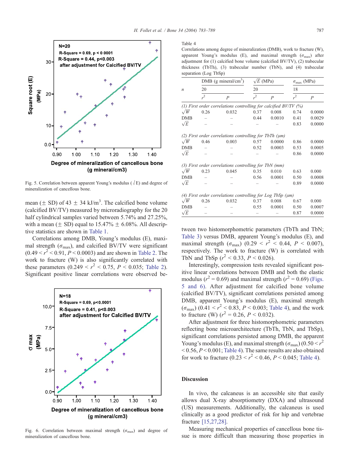

Fig. 5. Correlation between apparent Young's modulus ( $\sqrt{E}$ ) and degree of mineralization of cancellous bone.

mean ( $\pm$  SD) of 43  $\pm$  34 kJ/m<sup>3</sup>. The calcified bone volume (calcified BV/TV) measured by microradiography for the 20 half cylindrical samples varied between 5.74% and 27.25%, with a mean ( $\pm$  SD) equal to 15.47%  $\pm$  6.08%. All descriptive statistics are shown in [Table 1.](#page-3-0)

Correlations among DMB, Young's modulus (E), maximal strength ( $\sigma_{\text{max}}$ ), and calcified BV/TV were significant  $(0.49 < r^2 < 0.91, P < 0.0003)$  and are shown in [Table 2.](#page-4-0) The work to fracture (W) is also significantly correlated with these parameters  $(0.249 < r^2 < 0.75, P < 0.035$ ; [Table 2\)](#page-4-0). Significant positive linear correlations were observed be-



Fig. 6. Correlation between maximal strength ( $\sigma_{\text{max}}$ ) and degree of mineralization of cancellous bone.

#### Table 4

Correlations among degree of mineralization (DMB), work to fracture (W), apparent Young's modulus (E), and maximal strength  $(\sigma_{\text{max}})$  after adjustment for (1) calcified bone volume (calcified BV/TV), (2) trabecular thickness (TbTh), (3) trabecular number (TbN), and (4) trabecular separation (Log TbSp)

|            |                  | DMB (g mineral/ $\text{cm}^3$ )                                  | $\sqrt{E}$ (MPa) |                | $\sigma_{\rm max}$ (MPa)<br>18 |                |  |
|------------|------------------|------------------------------------------------------------------|------------------|----------------|--------------------------------|----------------|--|
| n          | 20               |                                                                  | 20               |                |                                |                |  |
|            | $\overline{r^2}$ | $\overline{P}$                                                   | r <sup>2</sup>   | $\overline{P}$ | $r^2$                          | $\overline{P}$ |  |
|            |                  | (1) First order correlations controlling for calcified BV/TV (%) |                  |                |                                |                |  |
| $\sqrt{W}$ | 0.26             | 0.032                                                            | 0.37             | 0.008          | 0.74                           | 0.0000         |  |
| DMB        |                  |                                                                  | 0.44             | 0.0010         | 0.41                           | 0.0029         |  |
| $\sqrt{E}$ |                  |                                                                  |                  |                | 0.83                           | 0.0000         |  |
|            |                  | (2) First order correlations controlling for TbTh $(\mu m)$      |                  |                |                                |                |  |
| $\sqrt{W}$ | 0.46             | 0.003                                                            | 0.57             | 0.0000         | 0.86                           | 0.0000         |  |
| DMB        |                  |                                                                  | 0.52             | 0.0003         | 0.53                           | 0.0005         |  |
| $\sqrt{E}$ |                  |                                                                  |                  |                | 0.86                           | 0.0000         |  |
|            |                  | (3) First order correlations controlling for TbN (mm)            |                  |                |                                |                |  |
| $\sqrt{W}$ | 0.23             | 0.045                                                            | 0.35             | 0.010          | 0.63                           | 0.000          |  |
| DMB        |                  |                                                                  | 0.56             | 0.0001         | 0.50                           | 0.0008         |  |
| $\sqrt{E}$ |                  |                                                                  |                  |                | 0.89                           | 0.0000         |  |
|            |                  | (4) First order correlations controlling for Log TbSp $(\mu m)$  |                  |                |                                |                |  |
| $\sqrt{W}$ | 0.26             | 0.032                                                            | 0.37             | 0.008          | 0.67                           | 0.000          |  |
| DMB        |                  |                                                                  | 0.55             | 0.0001         | 0.50                           | 0.0007         |  |
| $\sqrt{E}$ |                  |                                                                  |                  |                | 0.87                           | 0.0000         |  |

tween two histomorphometric parameters (TbTh and TbN; [Table 3\)](#page-4-0) versus DMB, apparent Young's modulus (E), and maximal strength  $(\sigma_{\text{max}})$  (0.29 <  $r^2$  < 0.44, P < 0.007), respectively. The work to fracture (W) is correlated with TbN and TbSp  $(r^2 < 0.33, P < 0.026)$ .

Interestingly, compression tests revealed significant positive linear correlations between DMB and both the elastic modulus ( $r^2 = 0.69$ ) and maximal strength ( $r^2 = 0.69$ ) (Figs. 5 and 6). After adjustment for calcified bone volume (calcified BV/TV), significant correlations persisted among DMB, apparent Young's modulus (E), maximal strength  $(\sigma_{\text{max}})$  (0.41 <  $r^2$  < 0.83, P < 0.003; Table 4), and the work to fracture (W)  $(r^2 = 0.26, P < 0.032)$ .

After adjustment for three histomorphometric parameters reflecting bone microarchitecture (TbTh, TbN, and TbSp), significant correlations persisted among DMB, the apparent Young's modulus (E), and maximal strength  $(\sigma_{\text{max}})$  (0.50 <  $r^2$  $<$  0.56,  $P$  < 0.001; Table 4). The same results are also obtained for work to fracture  $(0.23 < r^2 < 0.46, P < 0.045;$  Table 4).

## Discussion

In vivo, the calcaneus is an accessible site that easily allows dual X-ray absorptiometry (DXA) and ultrasound (US) measurements. Additionally, the calcaneus is used clinically as a good predictor of risk for hip and vertebrae fracture [\[15,27,28\].](#page-7-0)

Measuring mechanical properties of cancellous bone tissue is more difficult than measuring those properties in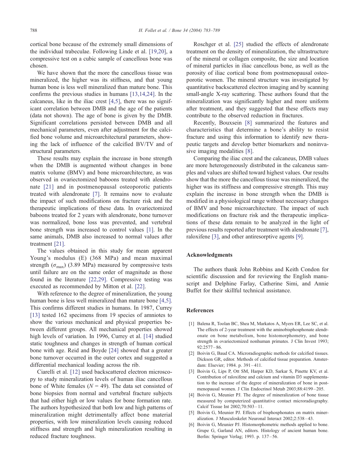<span id="page-6-0"></span>cortical bone because of the extremely small dimensions of the individual trabeculae. Following Linde et al. [\[19,20\],](#page-7-0) a compressive test on a cubic sample of cancellous bone was chosen.

We have shown that the more the cancellous tissue was mineralized, the higher was its stiffness, and that young human bone is less well mineralized than mature bone. This confirms the previous studies in humans [\[13,14,24\].](#page-7-0) In the calcaneus, like in the iliac crest [4,5], there was no significant correlation between DMB and the age of the patients (data not shown). The age of bone is given by the DMB. Significant correlations persisted between DMB and all mechanical parameters, even after adjustment for the calcified bone volume and microarchitectural parameters, showing the lack of influence of the calcified BV/TV and of structural parameters.

These results may explain the increase in bone strength when the DMB is augmented without changes in bone matrix volume (BMV) and bone microarchitecture, as was observed in ovariectomized baboons treated with alendronate [\[21\]](#page-7-0) and in postmenopausal osteoporotic patients treated with alendronate [\[7\].](#page-7-0) It remains now to evaluate the impact of such modifications on fracture risk and the therapeutic implications of these data. In ovariectomized baboons treated for 2 years with alendronate, bone turnover was normalized, bone loss was prevented, and vertebral bone strength was increased to control values [1]. In the same animals, DMB also increased to normal values after treatment [\[21\].](#page-7-0)

The values obtained in this study for mean apparent Young's modulus (E) (368 MPa) and mean maximal strength ( $\sigma_{\text{max}}$ ) (3.89 MPa) measured by compressive tests until failure are on the same order of magnitude as those found in the literature [\[22,29\].](#page-7-0) Compressive testing was executed as recommended by Mitton et al. [\[22\].](#page-7-0)

With reference to the degree of mineralization, the young human bone is less well mineralized than mature bone [4,5]. This confirms different studies in humans. In 1987, Currey [\[13\]](#page-7-0) tested 162 specimens from 19 species of amniotes to show the various mechanical and physical properties between different groups. All mechanical properties showed high levels of variation. In 1996, Currey et al. [\[14\]](#page-7-0) studied static toughness and changes in strength of human cortical bone with age. Reid and Boyde [\[24\]](#page-7-0) showed that a greater bone turnover occurred in the outer cortex and suggested a differential mechanical loading across the rib.

Ciarelli et al. [\[12\]](#page-7-0) used backscattered electron microscopy to study mineralization levels of human iliac cancellous bone of White females ( $N = 49$ ). The data set consisted of bone biopsies from normal and vertebral fracture subjects that had either high or low values for bone formation rate. The authors hypothesized that both low and high patterns of mineralization might detrimentally affect bone material properties, with low mineralization levels causing reduced stiffness and strength and high mineralization resulting in reduced fracture toughness.

Roschger et al. [\[25\]](#page-7-0) studied the effects of alendronate treatment on the density of mineralization, the ultrastructure of the mineral or collagen composite, the size and location of mineral particles in iliac cancellous bone, as well as the porosity of iliac cortical bone from postmenopausal osteoporotic women. The mineral structure was investigated by quantitative backscattered electron imaging and by scanning small-angle X-ray scattering. These authors found that the mineralization was significantly higher and more uniform after treatment, and they suggested that these effects may contribute to the observed reduction in fractures.

Recently, Bouxsein [\[8\]](#page-7-0) summarized the features and characteristics that determine a bone's ability to resist fracture and using this information to identify new therapeutic targets and develop better biomarkers and noninvasive imaging modalities [\[8\].](#page-7-0)

Comparing the iliac crest and the calcaneus, DMB values are more heterogeneously distributed in the calcaneus samples and values are shifted toward highest values. Our results show that the more the cancellous tissue was mineralized, the higher was its stiffness and compressive strength. This may explain the increase in bone strength when the DMB is modified in a physiological range without necessary changes of BMV and bone microarchitecture. The impact of such modifications on fracture risk and the therapeutic implications of these data remain to be analyzed in the light of previous results reported after treatment with alendronate [\[7\],](#page-7-0) raloxifene [3], and other antiresorptive agents [\[9\].](#page-7-0)

### Acknowledgments

The authors thank John Robbins and Keith Condon for scientific discussion and for reviewing the English manuscript and Delphine Farlay, Catherine Simi, and Annie Buffet for their skillful technical assistance.

#### References

- [1] Balena R, Toolan BC, Shea M, Markatos A, Myers ER, Lee SC, et al. The effects of 2-year treatment with the aminobisphosphonate alendronate on bone metabolism, bone histomorphometry, and bone strength in ovariectomized nonhuman primates. J Clin Invest 1993;  $92:2577 - 86$
- [2] Boivin G, Baud CA. Microradiographic methods for calcified tissues. Dickson GR, editor. Methods of calcified tissue preparation. Amsterdam: Elsevier; 1984. p. 391-411.
- [3] Boivin G, Lips P, Ott SM, Harper KD, Sarkar S, Pinette KV, et al. Contribution of raloxifene and calcium and vitamin D3 supplementation to the increase of the degree of mineralization of bone in postmenopausal women. J Clin Endocrinol Metab 2003;88:4199 – 205.
- [4] Boivin G, Meunier PJ. The degree of mineralization of bone tissue measured by computerized quantitative contact microradiography. Calcif Tissue Int 2002;70:503 – 11.
- [5] Boivin G, Meunier PJ. Effects of bisphosphonates on matrix mineralization. J Musculoskelet Neuronal Interact 2002;2:538 – 43.
- [6] Boivin G, Meunier PJ. Histomorphometric methods applied to bone. Grupe G, Garland AN, editors. Histology of ancient human bone. Berlin: Springer Verlag; 1993. p. 137 – 56.